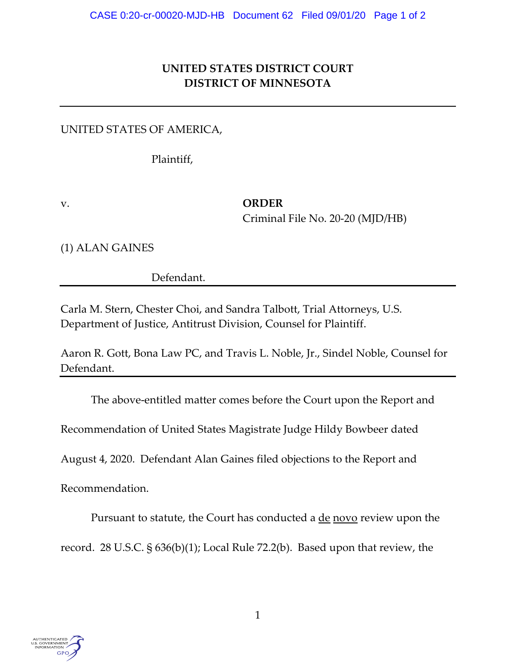## **UNITED STATES DISTRICT COURT DISTRICT OF MINNESOTA**

UNITED STATES OF AMERICA,

Plaintiff,

v. **ORDER** Criminal File No. 20-20 (MJD/HB)

(1) ALAN GAINES

Defendant.

Carla M. Stern, Chester Choi, and Sandra Talbott, Trial Attorneys, U.S. Department of Justice, Antitrust Division, Counsel for Plaintiff.

Aaron R. Gott, Bona Law PC, and Travis L. Noble, Jr., Sindel Noble, Counsel for Defendant.

The above-entitled matter comes before the Court upon the Report and

Recommendation of United States Magistrate Judge Hildy Bowbeer dated

August 4, 2020. Defendant Alan Gaines filed objections to the Report and

Recommendation.

Pursuant to statute, the Court has conducted a <u>de novo</u> review upon the

record. 28 U.S.C. § 636(b)(1); Local Rule 72.2(b). Based upon that review, the